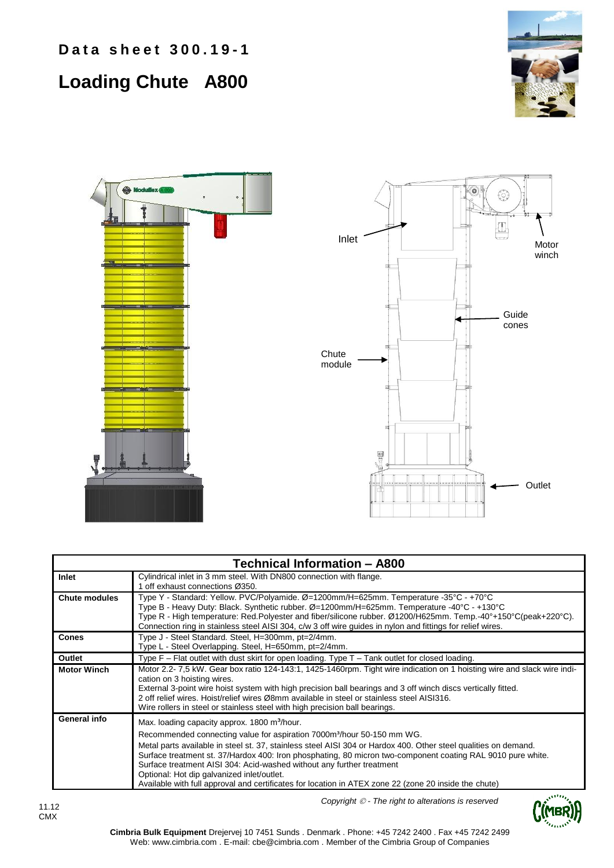## **Loading Chute A800**







| <b>Technical Information - A800</b> |                                                                                                                                                                                                                                                                                                                                                                                                                                                                                                                                                                                                                  |  |  |  |  |  |  |  |
|-------------------------------------|------------------------------------------------------------------------------------------------------------------------------------------------------------------------------------------------------------------------------------------------------------------------------------------------------------------------------------------------------------------------------------------------------------------------------------------------------------------------------------------------------------------------------------------------------------------------------------------------------------------|--|--|--|--|--|--|--|
| Inlet                               | Cylindrical inlet in 3 mm steel. With DN800 connection with flange.<br>1 off exhaust connections Ø350.                                                                                                                                                                                                                                                                                                                                                                                                                                                                                                           |  |  |  |  |  |  |  |
| <b>Chute modules</b>                | Type Y - Standard: Yellow. PVC/Polyamide. Ø=1200mm/H=625mm. Temperature -35°C - +70°C<br>Type B - Heavy Duty: Black. Synthetic rubber. Ø=1200mm/H=625mm. Temperature -40°C - +130°C<br>Type R - High temperature: Red.Polyester and fiber/silicone rubber. Ø1200/H625mm. Temp.-40°+150°C(peak+220°C).<br>Connection ring in stainless steel AISI 304, c/w 3 off wire guides in nylon and fittings for relief wires.                                                                                                                                                                                              |  |  |  |  |  |  |  |
| <b>Cones</b>                        | Type J - Steel Standard. Steel, H=300mm, pt=2/4mm.<br>Type L - Steel Overlapping. Steel, H=650mm, pt=2/4mm.                                                                                                                                                                                                                                                                                                                                                                                                                                                                                                      |  |  |  |  |  |  |  |
| Outlet                              | Type F - Flat outlet with dust skirt for open loading. Type T - Tank outlet for closed loading.                                                                                                                                                                                                                                                                                                                                                                                                                                                                                                                  |  |  |  |  |  |  |  |
| <b>Motor Winch</b>                  | Motor 2.2-7,5 kW. Gear box ratio 124-143:1, 1425-1460rpm. Tight wire indication on 1 hoisting wire and slack wire indi-<br>cation on 3 hoisting wires.<br>External 3-point wire hoist system with high precision ball bearings and 3 off winch discs vertically fitted.<br>2 off relief wires. Hoist/relief wires Ø8mm available in steel or stainless steel AISI316.<br>Wire rollers in steel or stainless steel with high precision ball bearings.                                                                                                                                                             |  |  |  |  |  |  |  |
| General info                        | Max. loading capacity approx. 1800 m <sup>3</sup> /hour.<br>Recommended connecting value for aspiration 7000m <sup>3</sup> /hour 50-150 mm WG.<br>Metal parts available in steel st. 37, stainless steel AISI 304 or Hardox 400. Other steel qualities on demand.<br>Surface treatment st. 37/Hardox 400: Iron phosphating, 80 micron two-component coating RAL 9010 pure white.<br>Surface treatment AISI 304: Acid-washed without any further treatment<br>Optional: Hot dip galvanized inlet/outlet.<br>Available with full approval and certificates for location in ATEX zone 22 (zone 20 inside the chute) |  |  |  |  |  |  |  |

*Copyright - The right to alterations is reserved*